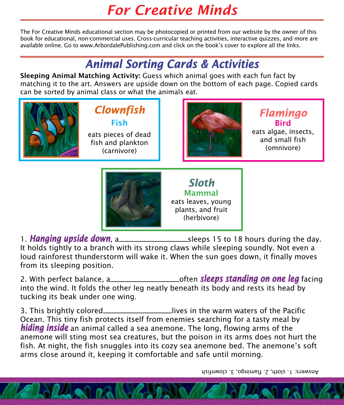## *For Creative Minds*

The For Creative Minds educational section may be photocopied or printed from our website by the owner of this book for educational, non-commercial uses. Cross-curricular teaching activities, interactive quizzes, and more are available online. Go to www.ArbordalePublishing.com and click on the book's cover to explore all the links.

## *Animal Sorting Cards & Activities*

Sleeping Animal Matching Activity: Guess which animal goes with each fun fact by matching it to the art. Answers are upside down on the bottom of each page. Copied cards can be sorted by animal class or what the animals eat.

> *Clownfish* Fish eats pieces of dead fish and plankton (carnivore)



*Flamingo* Bird eats algae, insects, and small fish

(omnivore)



Mammal eats leaves, young plants, and fruit (herbivore)

1. *Hanging upside down*, a sleeps 15 to 18 hours during the day. It holds tightly to a branch with its strong claws while sleeping soundly. Not even a loud rainforest thunderstorm will wake it. When the sun goes down, it finally moves from its sleeping position.

2. With perfect balance, a\_\_\_\_\_\_\_\_\_\_\_\_\_\_\_\_\_\_\_\_\_\_\_\_often *sleeps standing on one leg* facing into the wind. It folds the other leg neatly beneath its body and rests its head by tucking its beak under one wing.

3. This brightly colored\_\_\_\_\_\_\_\_\_\_\_\_\_\_\_\_\_\_\_\_\_lives in the warm waters of the Pacific Ocean. This tiny fish protects itself from enemies searching for a tasty meal by *hiding inside* an animal called a sea anemone. The long, flowing arms of the anemone will sting most sea creatures, but the poison in its arms does not hurt the fish. At night, the fish snuggles into its cozy sea anemone bed. The anemone's soft arms close around it, keeping it comfortable and safe until morning.

Answers: 1. sloth, 2. flamingo, 3. clownfish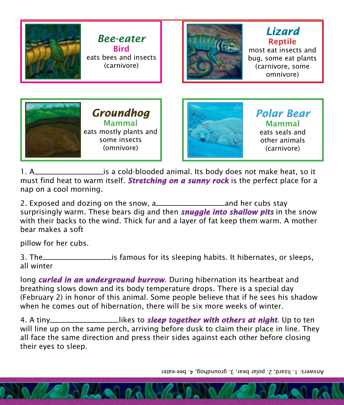

*Bee-eater* **Rird** eats bees and insects (carnivore)



Reptile most eat insects and bug, some eat plants (carnivore, some omnivore)

*Lizard*





*Polar Bear* Mammal eats seals and other animals (carnivore)

1. A is a cold-blooded animal. Its body does not make heat, so it must find heat to warm itself. *Stretching on a sunny rock* is the perfect place for a nap on a cool morning.

2. Exposed and dozing on the snow, a and her cubs stay surprisingly warm. These bears dig and then *snuggle into shallow pits* in the snow with their backs to the wind. Thick fur and a layer of fat keep them warm. A mother bear makes a soft

pillow for her cubs.

3. The <u>is famous</u> for its sleeping habits. It hibernates, or sleeps, all winter

long *curled in an underground burrow*. During hibernation its heartbeat and breathing slows down and its body temperature drops. There is a special day (February 2) in honor of this animal. Some people believe that if he sees his shadow when he comes out of hibernation, there will be six more weeks of winter.

4. A tiny\_\_\_\_\_\_\_\_\_\_\_\_\_\_\_\_\_\_\_likes to **sleep together with others at night**. Up to ten will line up on the same perch, arriving before dusk to claim their place in line. They all face the same direction and press their sides against each other before closing their eyes to sleep.

Answers: 1. lizard, 2. polar bear, 3. groundhog, 4. bee-eater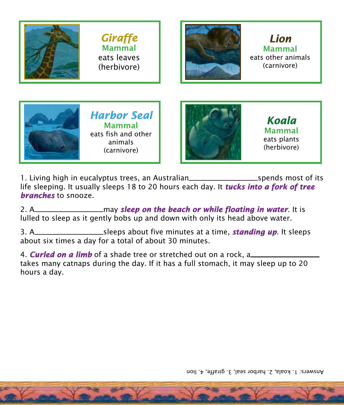

1. Living high in eucalyptus trees, an Australian subsequently spends most of its life sleeping. It usually sleeps 18 to 20 hours each day. It *tucks into a fork of tree branches* to snooze.

2. A may *sleep on the beach or while floating in water*. It is lulled to sleep as it gently bobs up and down with only its head above water.

3. A sleeps about five minutes at a time, *standing up*. It sleeps about six times a day for a total of about 30 minutes.

4. *Curled on a limb* of a shade tree or stretched out on a rock, a takes many catnaps during the day. If it has a full stomach, it may sleep up to 20 hours a day.

Answers: 1. koala, 2. harbor seal, 3. giraffe, 4. lion